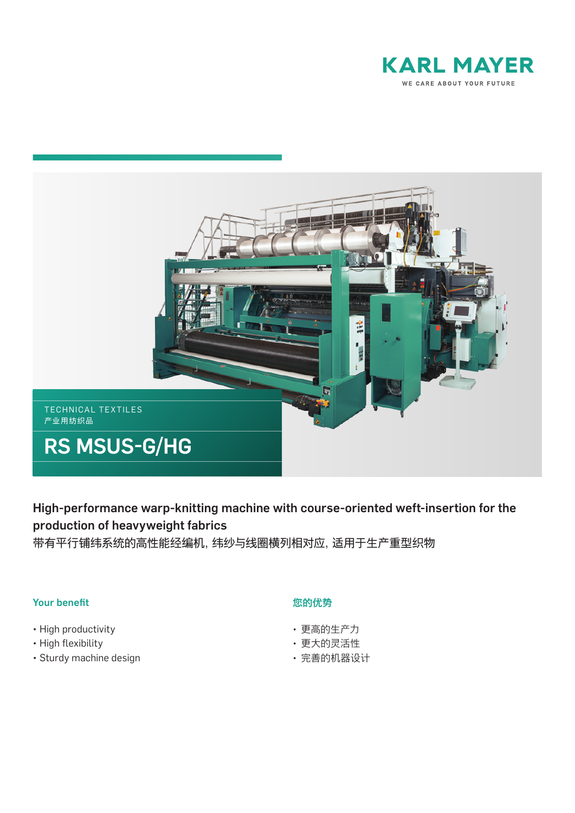



High-performance warp-knitting machine with course-oriented weft-insertion for the production of heavyweight fabrics

带有平行铺纬系统的高性能经编机,纬纱与线圈横列相对应,适用于生产重型织物

## Your benefit

- High productivity
- High flexibility
- Sturdy machine design

## 您的优势

- 更高的生产力
- 更大的灵活性
- 完善的机器设计